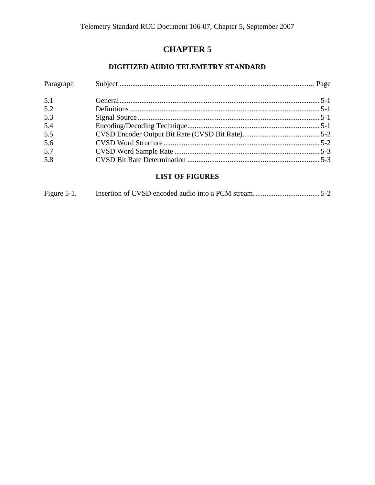# **CHAPTER 5**

## **DIGITIZED AUDIO TELEMETRY STANDARD**

| Paragraph |  |
|-----------|--|
| 5.1       |  |
| 5.2       |  |
| 5.3       |  |
| 5.4       |  |
| 5.5       |  |
| 5.6       |  |
| 5.7       |  |
| 5.8       |  |

### **LIST OF FIGURES**

| Figure $5-1$ . |  |
|----------------|--|
|                |  |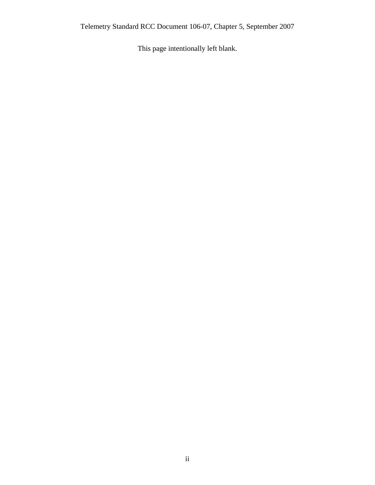This page intentionally left blank.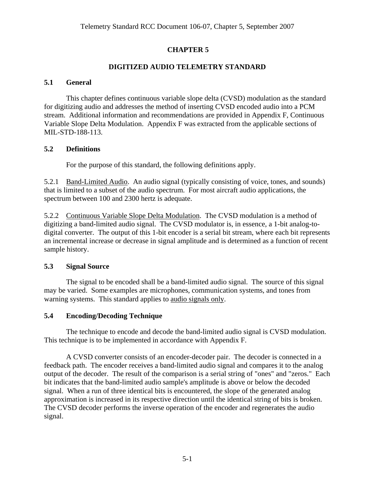### **CHAPTER 5**

### **DIGITIZED AUDIO TELEMETRY STANDARD**

#### <span id="page-2-0"></span>**5.1 General**

 This chapter defines continuous variable slope delta (CVSD) modulation as the standard for digitizing audio and addresses the method of inserting CVSD encoded audio into a PCM stream. Additional information and recommendations are provided in Appendix F, Continuous Variable Slope Delta Modulation. Appendix F was extracted from the applicable sections of MIL-STD-188-113.

#### **5.2 Definitions**

For the purpose of this standard, the following definitions apply.

5.2.1 Band-Limited Audio. An audio signal (typically consisting of voice, tones, and sounds) that is limited to a subset of the audio spectrum. For most aircraft audio applications, the spectrum between 100 and 2300 hertz is adequate.

5.2.2 Continuous Variable Slope Delta Modulation. The CVSD modulation is a method of digitizing a band-limited audio signal. The CVSD modulator is, in essence, a 1-bit analog-todigital converter. The output of this 1-bit encoder is a serial bit stream, where each bit represents an incremental increase or decrease in signal amplitude and is determined as a function of recent sample history.

#### **5.3 Signal Source**

 The signal to be encoded shall be a band-limited audio signal. The source of this signal may be varied. Some examples are microphones, communication systems, and tones from warning systems. This standard applies to audio signals only.

#### **5.4 Encoding/Decoding Technique**

The technique to encode and decode the band-limited audio signal is CVSD modulation. This technique is to be implemented in accordance with Appendix F.

 A CVSD converter consists of an encoder-decoder pair. The decoder is connected in a feedback path. The encoder receives a band-limited audio signal and compares it to the analog output of the decoder. The result of the comparison is a serial string of "ones" and "zeros." Each bit indicates that the band-limited audio sample's amplitude is above or below the decoded signal. When a run of three identical bits is encountered, the slope of the generated analog approximation is increased in its respective direction until the identical string of bits is broken. The CVSD decoder performs the inverse operation of the encoder and regenerates the audio signal.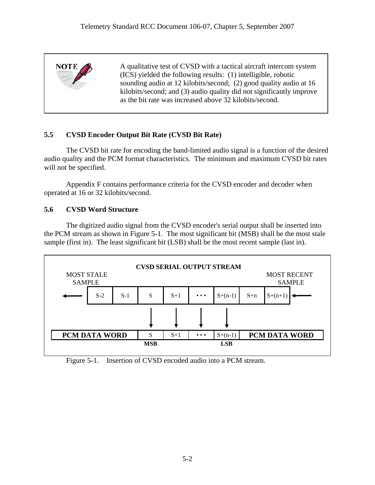<span id="page-3-1"></span><span id="page-3-0"></span>

### **5.5 CVSD Encoder Output Bit Rate (CVSD Bit Rate)**

 The CVSD bit rate for encoding the band-limited audio signal is a function of the desired audio quality and the PCM format characteristics. The minimum and maximum CVSD bit rates will not be specified.

 Appendix F contains performance criteria for the CVSD encoder and decoder when operated at 16 or 32 kilobits/second.

#### **5.6 CVSD Word Structure**

 The digitized audio signal from the CVSD encoder's serial output shall be inserted into the PCM stream as shown in Figure 5-1. The most significant bit (MSB) shall be the most stale sample (first in). The least significant bit (LSB) shall be the most recent sample (last in).



Figure 5-1. Insertion of CVSD encoded audio into a PCM stream.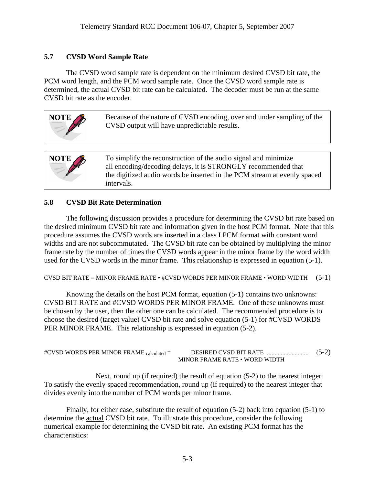#### <span id="page-4-0"></span>**5.7 CVSD Word Sample Rate**

 The CVSD word sample rate is dependent on the minimum desired CVSD bit rate, the PCM word length, and the PCM word sample rate. Once the CVSD word sample rate is determined, the actual CVSD bit rate can be calculated. The decoder must be run at the same CVSD bit rate as the encoder.



Because of the nature of CVSD encoding, over and under sampling of the CVSD output will have unpredictable results.



#### **5.8 CVSD Bit Rate Determination**

 The following discussion provides a procedure for determining the CVSD bit rate based on the desired minimum CVSD bit rate and information given in the host PCM format. Note that this procedure assumes the CVSD words are inserted in a class I PCM format with constant word widths and are not subcommutated. The CVSD bit rate can be obtained by multiplying the minor frame rate by the number of times the CVSD words appear in the minor frame by the word width used for the CVSD words in the minor frame. This relationship is expressed in equation (5-1).

CVSD BIT RATE = MINOR FRAME RATE • #CVSD WORDS PER MINOR FRAME • WORD WIDTH (5-1)

 Knowing the details on the host PCM format, equation (5-1) contains two unknowns: CVSD BIT RATE and #CVSD WORDS PER MINOR FRAME. One of these unknowns must be chosen by the user, then the other one can be calculated. The recommended procedure is to choose the desired (target value) CVSD bit rate and solve equation (5-1) for #CVSD WORDS PER MINOR FRAME. This relationship is expressed in equation (5-2).

```
#CVSD WORDS PER MINOR FRAME calculated = \frac{\text{DESIRED CVSD BIT RATE}}{\text{MINOR FRAME RATE} \cdot \text{WORD WIDTH}} (5-2)
```
Next, round up (if required) the result of equation (5-2) to the nearest integer. To satisfy the evenly spaced recommendation, round up (if required) to the nearest integer that divides evenly into the number of PCM words per minor frame.

 Finally, for either case, substitute the result of equation (5-2) back into equation (5-1) to determine the actual CVSD bit rate. To illustrate this procedure, consider the following numerical example for determining the CVSD bit rate. An existing PCM format has the characteristics: